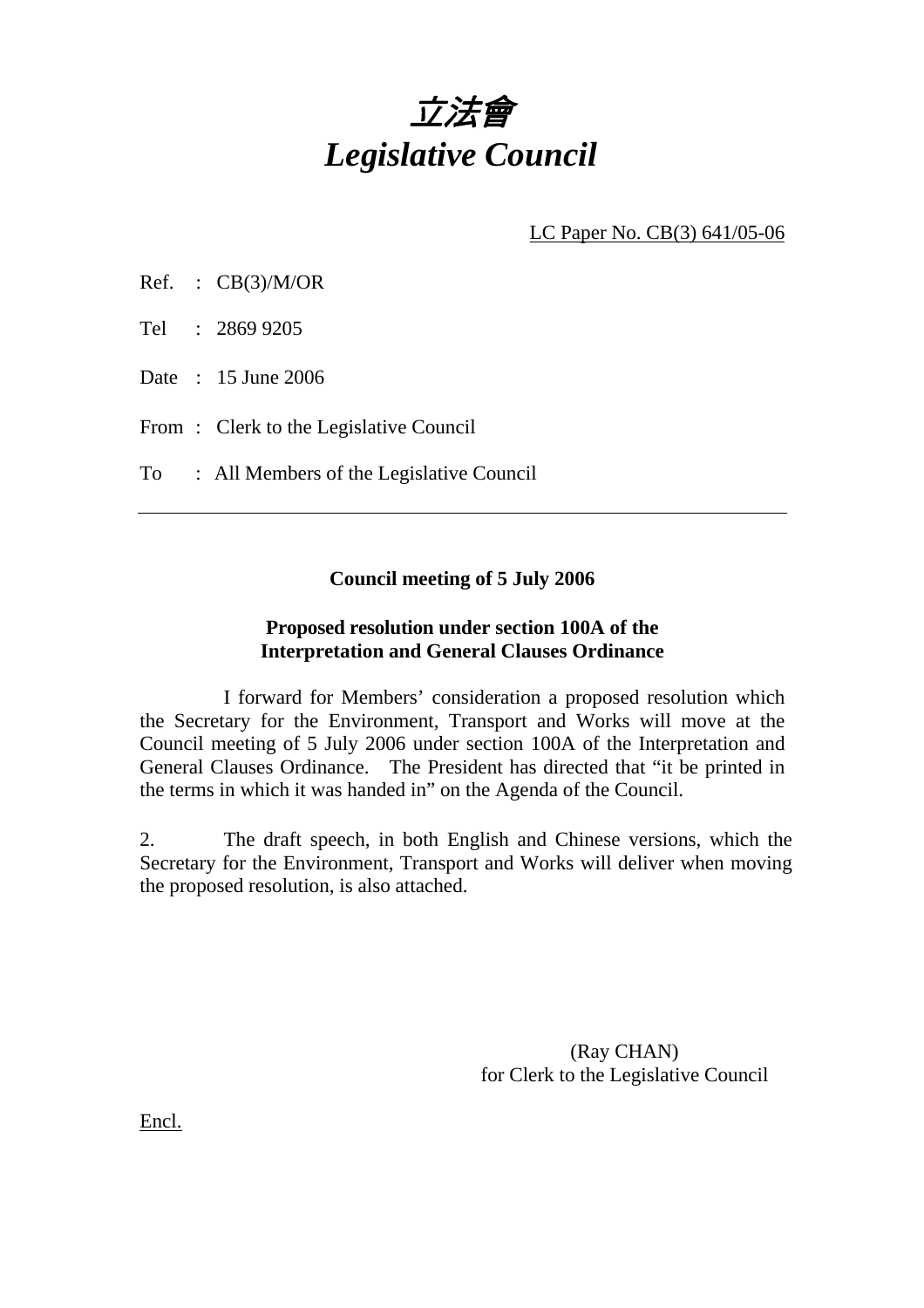

LC Paper No. CB(3) 641/05-06

Tel : 2869 9205

Date : 15 June 2006

From: Clerk to the Legislative Council

To : All Members of the Legislative Council

## **Council meeting of 5 July 2006**

## **Proposed resolution under section 100A of the Interpretation and General Clauses Ordinance**

 I forward for Members' consideration a proposed resolution which the Secretary for the Environment, Transport and Works will move at the Council meeting of 5 July 2006 under section 100A of the Interpretation and General Clauses Ordinance. The President has directed that "it be printed in the terms in which it was handed in" on the Agenda of the Council.

2. The draft speech, in both English and Chinese versions, which the Secretary for the Environment, Transport and Works will deliver when moving the proposed resolution, is also attached.

> (Ray CHAN) for Clerk to the Legislative Council

Encl.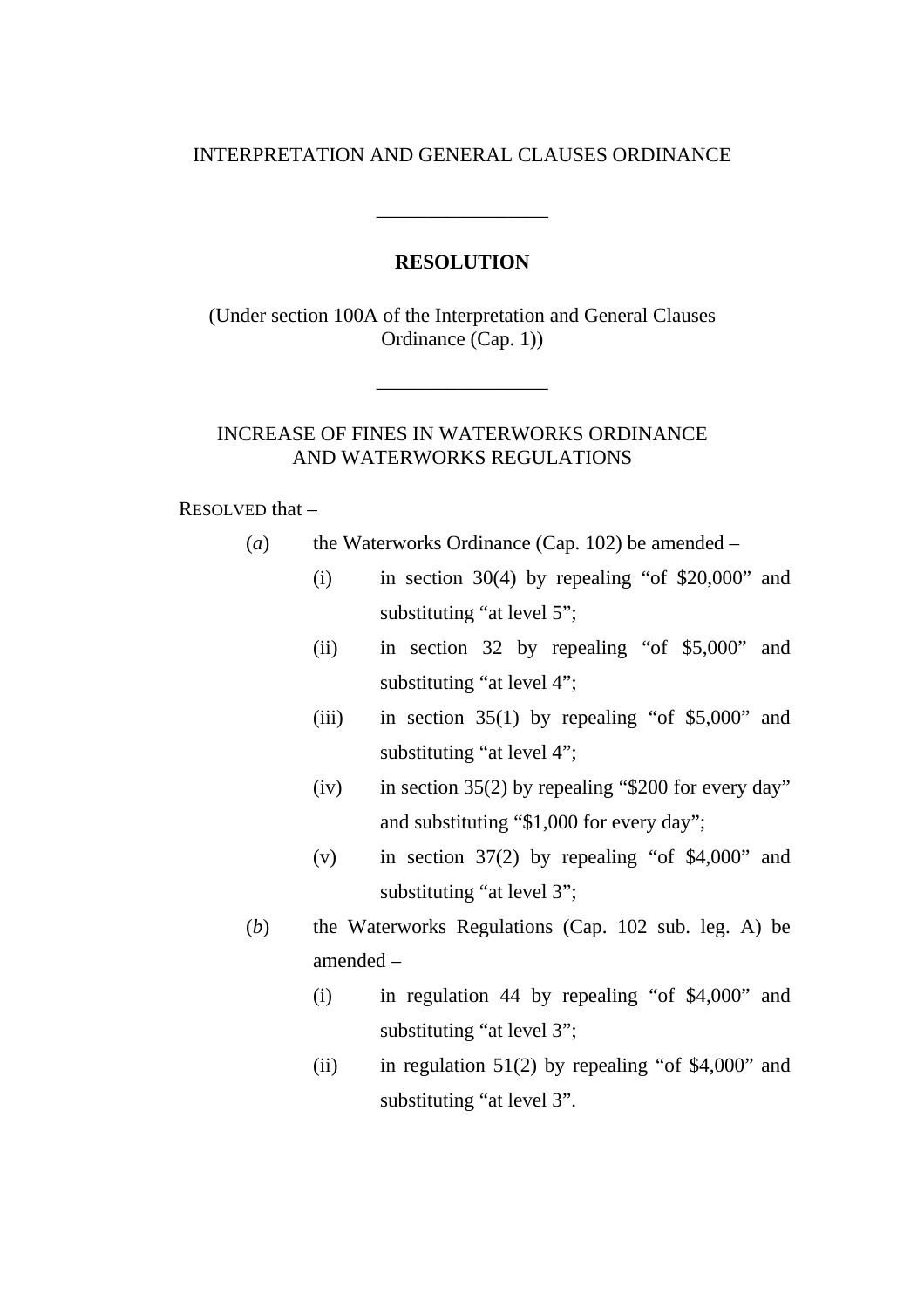### INTERPRETATION AND GENERAL CLAUSES ORDINANCE

#### **RESOLUTION**

\_\_\_\_\_\_\_\_\_\_\_\_\_\_\_\_\_

(Under section 100A of the Interpretation and General Clauses Ordinance (Cap. 1))

\_\_\_\_\_\_\_\_\_\_\_\_\_\_\_\_\_

## INCREASE OF FINES IN WATERWORKS ORDINANCE AND WATERWORKS REGULATIONS

#### RESOLVED that –

- (*a*) the Waterworks Ordinance (Cap. 102) be amended
	- (i) in section 30(4) by repealing "of  $$20,000"$  and substituting "at level 5";
	- (ii) in section 32 by repealing "of \$5,000" and substituting "at level 4";
	- (iii) in section  $35(1)$  by repealing "of \$5,000" and substituting "at level 4";
	- (iv) in section  $35(2)$  by repealing "\$200 for every day" and substituting "\$1,000 for every day";
	- (v) in section 37(2) by repealing "of \$4,000" and substituting "at level 3";
- (*b*) the Waterworks Regulations (Cap. 102 sub. leg. A) be amended –
	- (i) in regulation 44 by repealing "of \$4,000" and substituting "at level 3";
	- (ii) in regulation  $51(2)$  by repealing "of \$4,000" and substituting "at level 3".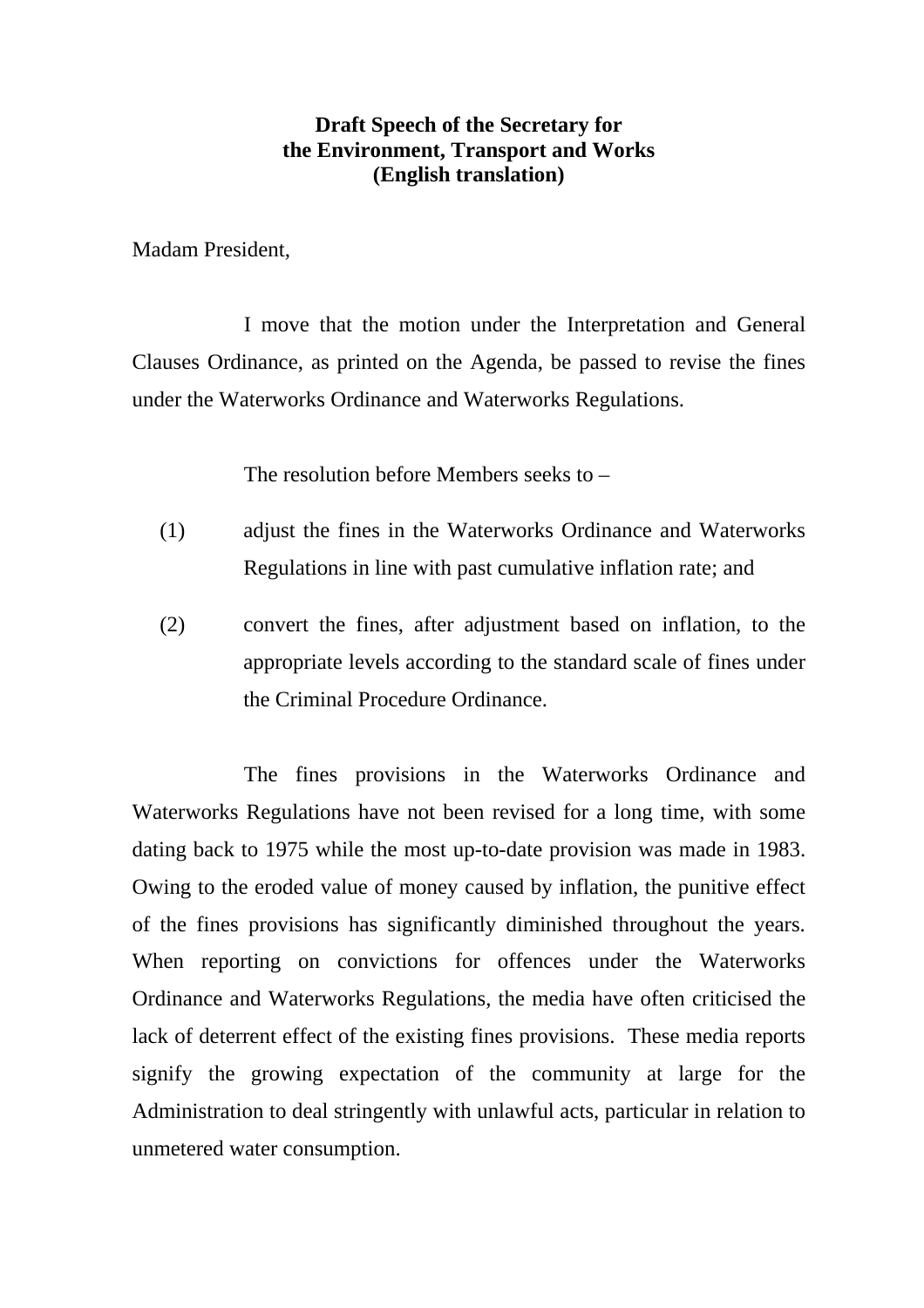# **Draft Speech of the Secretary for the Environment, Transport and Works (English translation)**

Madam President,

 I move that the motion under the Interpretation and General Clauses Ordinance, as printed on the Agenda, be passed to revise the fines under the Waterworks Ordinance and Waterworks Regulations.

The resolution before Members seeks to –

- (1) adjust the fines in the Waterworks Ordinance and Waterworks Regulations in line with past cumulative inflation rate; and
- (2) convert the fines, after adjustment based on inflation, to the appropriate levels according to the standard scale of fines under the Criminal Procedure Ordinance.

 The fines provisions in the Waterworks Ordinance and Waterworks Regulations have not been revised for a long time, with some dating back to 1975 while the most up-to-date provision was made in 1983. Owing to the eroded value of money caused by inflation, the punitive effect of the fines provisions has significantly diminished throughout the years. When reporting on convictions for offences under the Waterworks Ordinance and Waterworks Regulations, the media have often criticised the lack of deterrent effect of the existing fines provisions. These media reports signify the growing expectation of the community at large for the Administration to deal stringently with unlawful acts, particular in relation to unmetered water consumption.